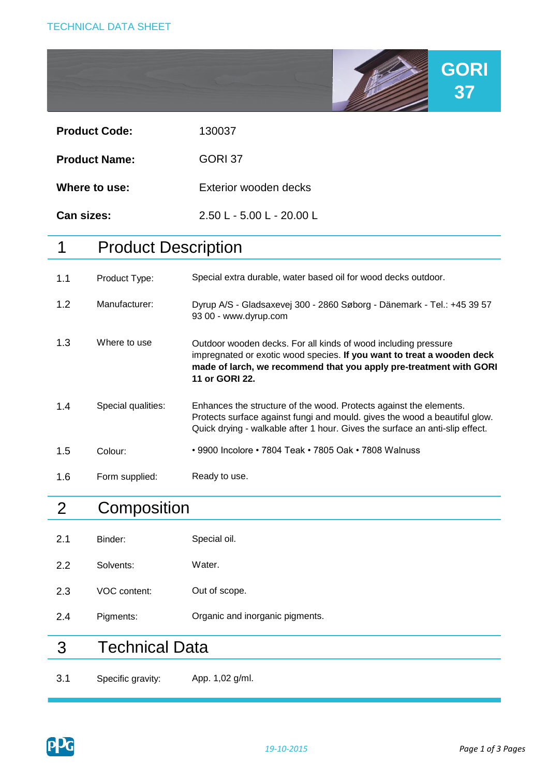

| Can sizes:           | $2.50 L - 5.00 L - 20.00 L$ |
|----------------------|-----------------------------|
| Where to use:        | Exterior wooden decks       |
| <b>Product Name:</b> | GORI 37                     |
| <b>Product Code:</b> | 130037                      |

# 1 Product Description

| 1.1 | Product Type:      | Special extra durable, water based oil for wood decks outdoor.                                                                                                                                                                   |
|-----|--------------------|----------------------------------------------------------------------------------------------------------------------------------------------------------------------------------------------------------------------------------|
| 1.2 | Manufacturer:      | Dyrup A/S - Gladsaxevej 300 - 2860 Søborg - Dänemark - Tel.: +45 39 57<br>93 00 - www.dyrup.com                                                                                                                                  |
| 1.3 | Where to use       | Outdoor wooden decks. For all kinds of wood including pressure<br>impregnated or exotic wood species. If you want to treat a wooden deck<br>made of larch, we recommend that you apply pre-treatment with GORI<br>11 or GORI 22. |
| 1.4 | Special qualities: | Enhances the structure of the wood. Protects against the elements.<br>Protects surface against fungi and mould. gives the wood a beautiful glow.<br>Quick drying - walkable after 1 hour. Gives the surface an anti-slip effect. |
| 1.5 | Colour:            | • 9900 Incolore • 7804 Teak • 7805 Oak • 7808 Walnuss                                                                                                                                                                            |
| 1.6 | Form supplied:     | Ready to use.                                                                                                                                                                                                                    |

# 2 **Composition**

| 3.1 | Specific gravity:     | App. 1,02 g/ml.                 |
|-----|-----------------------|---------------------------------|
| 3   | <b>Technical Data</b> |                                 |
| 2.4 | Pigments:             | Organic and inorganic pigments. |
| 2.3 | VOC content:          | Out of scope.                   |
| 2.2 | Solvents:             | Water.                          |
| 2.1 | Binder:               | Special oil.                    |

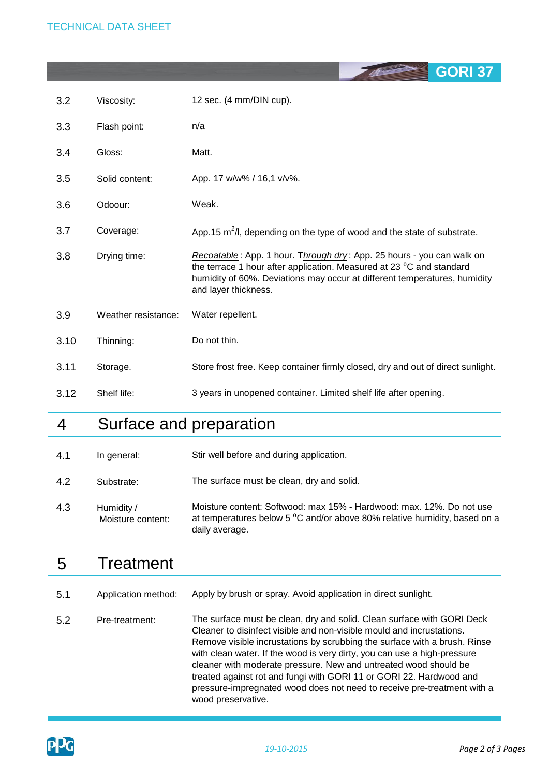|      |                     | <b>GURI 37</b>                                                                                                                                                                                                                                     |
|------|---------------------|----------------------------------------------------------------------------------------------------------------------------------------------------------------------------------------------------------------------------------------------------|
| 3.2  | Viscosity:          | 12 sec. (4 mm/DIN cup).                                                                                                                                                                                                                            |
| 3.3  | Flash point:        | n/a                                                                                                                                                                                                                                                |
| 3.4  | Gloss:              | Matt.                                                                                                                                                                                                                                              |
| 3.5  | Solid content:      | App. 17 w/w% / 16,1 v/v%.                                                                                                                                                                                                                          |
| 3.6  | Odoour:             | Weak.                                                                                                                                                                                                                                              |
| 3.7  | Coverage:           | App.15 $m^2/l$ , depending on the type of wood and the state of substrate.                                                                                                                                                                         |
| 3.8  | Drying time:        | Recoatable: App. 1 hour. Through dry: App. 25 hours - you can walk on<br>the terrace 1 hour after application. Measured at 23 °C and standard<br>humidity of 60%. Deviations may occur at different temperatures, humidity<br>and layer thickness. |
| 3.9  | Weather resistance: | Water repellent.                                                                                                                                                                                                                                   |
| 3.10 | Thinning:           | Do not thin.                                                                                                                                                                                                                                       |
| 3.11 | Storage.            | Store frost free. Keep container firmly closed, dry and out of direct sunlight.                                                                                                                                                                    |
| 3.12 | Shelf life:         | 3 years in unopened container. Limited shelf life after opening.                                                                                                                                                                                   |

## 4 Surface and preparation

| 4.1 | In general: | Stir well before and during application. |
|-----|-------------|------------------------------------------|
|-----|-------------|------------------------------------------|

4.2 Substrate: The surface must be clean, dry and solid.

4.3 Moisture content: Softwood: max 15% - Hardwood: max. 12%. Do not use at temperatures below 5 °C and/or above 80% relative humidity, based on a daily average. Humidity / Moisture content:

## 5 **Treatment**

| 5.1 | Application method: | Apply by brush or spray. Avoid application in direct sunlight.                                                                                                                                                                                                                                                                                                                                                                                                                                                                                       |
|-----|---------------------|------------------------------------------------------------------------------------------------------------------------------------------------------------------------------------------------------------------------------------------------------------------------------------------------------------------------------------------------------------------------------------------------------------------------------------------------------------------------------------------------------------------------------------------------------|
| 5.2 | Pre-treatment:      | The surface must be clean, dry and solid. Clean surface with GORI Deck<br>Cleaner to disinfect visible and non-visible mould and incrustations.<br>Remove visible incrustations by scrubbing the surface with a brush. Rinse<br>with clean water. If the wood is very dirty, you can use a high-pressure<br>cleaner with moderate pressure. New and untreated wood should be<br>treated against rot and fungi with GORI 11 or GORI 22. Hardwood and<br>pressure-impregnated wood does not need to receive pre-treatment with a<br>wood preservative. |



**GORI 37**